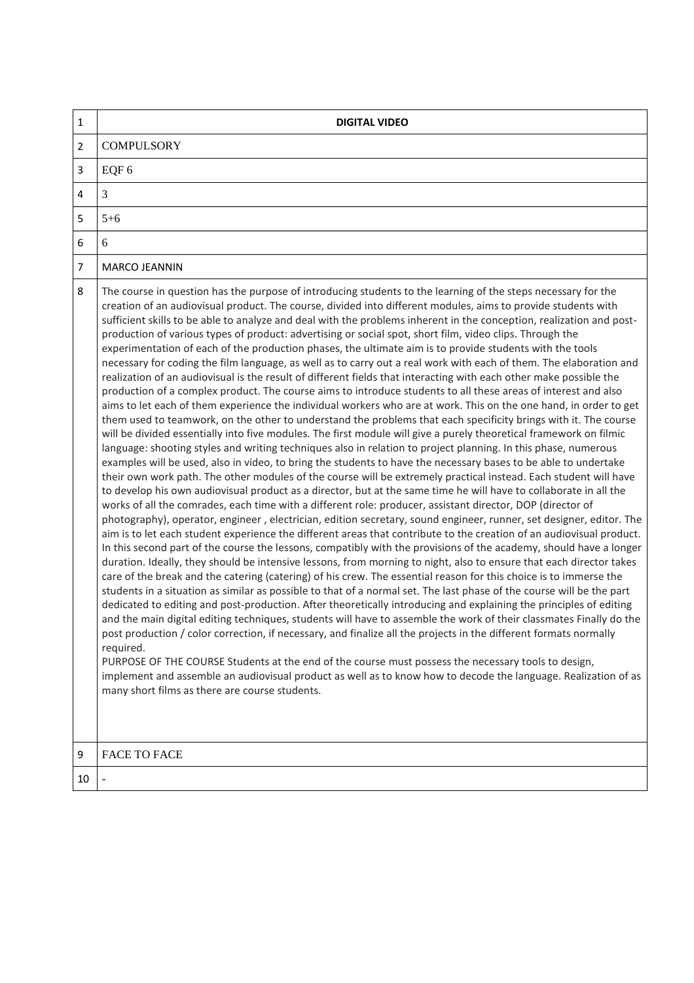| $\mathbf{1}$   | <b>DIGITAL VIDEO</b>                                                                                                                                                                                                                                                                                                                                                                                                                                                                                                                                                                                                                                                                                                                                                                                                                                                                                                                                                                                                                                                                                                                                                                                                                                                                                                                                                                                                                                                                                                                                                                                                                                                                                                                                                                                                                                                                                                                                                                                                                                                                                                                                                                                                                                                                                                                                                                                                                                                                                                                                                                                                                                                                                                                                                                                                                                                                                                                                                                                                                                                                                                                                                                                                                                                                                       |
|----------------|------------------------------------------------------------------------------------------------------------------------------------------------------------------------------------------------------------------------------------------------------------------------------------------------------------------------------------------------------------------------------------------------------------------------------------------------------------------------------------------------------------------------------------------------------------------------------------------------------------------------------------------------------------------------------------------------------------------------------------------------------------------------------------------------------------------------------------------------------------------------------------------------------------------------------------------------------------------------------------------------------------------------------------------------------------------------------------------------------------------------------------------------------------------------------------------------------------------------------------------------------------------------------------------------------------------------------------------------------------------------------------------------------------------------------------------------------------------------------------------------------------------------------------------------------------------------------------------------------------------------------------------------------------------------------------------------------------------------------------------------------------------------------------------------------------------------------------------------------------------------------------------------------------------------------------------------------------------------------------------------------------------------------------------------------------------------------------------------------------------------------------------------------------------------------------------------------------------------------------------------------------------------------------------------------------------------------------------------------------------------------------------------------------------------------------------------------------------------------------------------------------------------------------------------------------------------------------------------------------------------------------------------------------------------------------------------------------------------------------------------------------------------------------------------------------------------------------------------------------------------------------------------------------------------------------------------------------------------------------------------------------------------------------------------------------------------------------------------------------------------------------------------------------------------------------------------------------------------------------------------------------------------------------------------------------|
| $\overline{2}$ | <b>COMPULSORY</b>                                                                                                                                                                                                                                                                                                                                                                                                                                                                                                                                                                                                                                                                                                                                                                                                                                                                                                                                                                                                                                                                                                                                                                                                                                                                                                                                                                                                                                                                                                                                                                                                                                                                                                                                                                                                                                                                                                                                                                                                                                                                                                                                                                                                                                                                                                                                                                                                                                                                                                                                                                                                                                                                                                                                                                                                                                                                                                                                                                                                                                                                                                                                                                                                                                                                                          |
| 3              | EQF 6                                                                                                                                                                                                                                                                                                                                                                                                                                                                                                                                                                                                                                                                                                                                                                                                                                                                                                                                                                                                                                                                                                                                                                                                                                                                                                                                                                                                                                                                                                                                                                                                                                                                                                                                                                                                                                                                                                                                                                                                                                                                                                                                                                                                                                                                                                                                                                                                                                                                                                                                                                                                                                                                                                                                                                                                                                                                                                                                                                                                                                                                                                                                                                                                                                                                                                      |
| 4              | 3                                                                                                                                                                                                                                                                                                                                                                                                                                                                                                                                                                                                                                                                                                                                                                                                                                                                                                                                                                                                                                                                                                                                                                                                                                                                                                                                                                                                                                                                                                                                                                                                                                                                                                                                                                                                                                                                                                                                                                                                                                                                                                                                                                                                                                                                                                                                                                                                                                                                                                                                                                                                                                                                                                                                                                                                                                                                                                                                                                                                                                                                                                                                                                                                                                                                                                          |
| 5              | $5 + 6$                                                                                                                                                                                                                                                                                                                                                                                                                                                                                                                                                                                                                                                                                                                                                                                                                                                                                                                                                                                                                                                                                                                                                                                                                                                                                                                                                                                                                                                                                                                                                                                                                                                                                                                                                                                                                                                                                                                                                                                                                                                                                                                                                                                                                                                                                                                                                                                                                                                                                                                                                                                                                                                                                                                                                                                                                                                                                                                                                                                                                                                                                                                                                                                                                                                                                                    |
| 6              | 6                                                                                                                                                                                                                                                                                                                                                                                                                                                                                                                                                                                                                                                                                                                                                                                                                                                                                                                                                                                                                                                                                                                                                                                                                                                                                                                                                                                                                                                                                                                                                                                                                                                                                                                                                                                                                                                                                                                                                                                                                                                                                                                                                                                                                                                                                                                                                                                                                                                                                                                                                                                                                                                                                                                                                                                                                                                                                                                                                                                                                                                                                                                                                                                                                                                                                                          |
| 7              | MARCO JEANNIN                                                                                                                                                                                                                                                                                                                                                                                                                                                                                                                                                                                                                                                                                                                                                                                                                                                                                                                                                                                                                                                                                                                                                                                                                                                                                                                                                                                                                                                                                                                                                                                                                                                                                                                                                                                                                                                                                                                                                                                                                                                                                                                                                                                                                                                                                                                                                                                                                                                                                                                                                                                                                                                                                                                                                                                                                                                                                                                                                                                                                                                                                                                                                                                                                                                                                              |
| 8              | The course in question has the purpose of introducing students to the learning of the steps necessary for the<br>creation of an audiovisual product. The course, divided into different modules, aims to provide students with<br>sufficient skills to be able to analyze and deal with the problems inherent in the conception, realization and post-<br>production of various types of product: advertising or social spot, short film, video clips. Through the<br>experimentation of each of the production phases, the ultimate aim is to provide students with the tools<br>necessary for coding the film language, as well as to carry out a real work with each of them. The elaboration and<br>realization of an audiovisual is the result of different fields that interacting with each other make possible the<br>production of a complex product. The course aims to introduce students to all these areas of interest and also<br>aims to let each of them experience the individual workers who are at work. This on the one hand, in order to get<br>them used to teamwork, on the other to understand the problems that each specificity brings with it. The course<br>will be divided essentially into five modules. The first module will give a purely theoretical framework on filmic<br>language: shooting styles and writing techniques also in relation to project planning. In this phase, numerous<br>examples will be used, also in video, to bring the students to have the necessary bases to be able to undertake<br>their own work path. The other modules of the course will be extremely practical instead. Each student will have<br>to develop his own audiovisual product as a director, but at the same time he will have to collaborate in all the<br>works of all the comrades, each time with a different role: producer, assistant director, DOP (director of<br>photography), operator, engineer, electrician, edition secretary, sound engineer, runner, set designer, editor. The<br>aim is to let each student experience the different areas that contribute to the creation of an audiovisual product.<br>In this second part of the course the lessons, compatibly with the provisions of the academy, should have a longer<br>duration. Ideally, they should be intensive lessons, from morning to night, also to ensure that each director takes<br>care of the break and the catering (catering) of his crew. The essential reason for this choice is to immerse the<br>students in a situation as similar as possible to that of a normal set. The last phase of the course will be the part<br>dedicated to editing and post-production. After theoretically introducing and explaining the principles of editing<br>and the main digital editing techniques, students will have to assemble the work of their classmates Finally do the<br>post production / color correction, if necessary, and finalize all the projects in the different formats normally<br>required.<br>PURPOSE OF THE COURSE Students at the end of the course must possess the necessary tools to design,<br>implement and assemble an audiovisual product as well as to know how to decode the language. Realization of as<br>many short films as there are course students. |
| 9              | <b>FACE TO FACE</b>                                                                                                                                                                                                                                                                                                                                                                                                                                                                                                                                                                                                                                                                                                                                                                                                                                                                                                                                                                                                                                                                                                                                                                                                                                                                                                                                                                                                                                                                                                                                                                                                                                                                                                                                                                                                                                                                                                                                                                                                                                                                                                                                                                                                                                                                                                                                                                                                                                                                                                                                                                                                                                                                                                                                                                                                                                                                                                                                                                                                                                                                                                                                                                                                                                                                                        |
| 10             | $\blacksquare$                                                                                                                                                                                                                                                                                                                                                                                                                                                                                                                                                                                                                                                                                                                                                                                                                                                                                                                                                                                                                                                                                                                                                                                                                                                                                                                                                                                                                                                                                                                                                                                                                                                                                                                                                                                                                                                                                                                                                                                                                                                                                                                                                                                                                                                                                                                                                                                                                                                                                                                                                                                                                                                                                                                                                                                                                                                                                                                                                                                                                                                                                                                                                                                                                                                                                             |